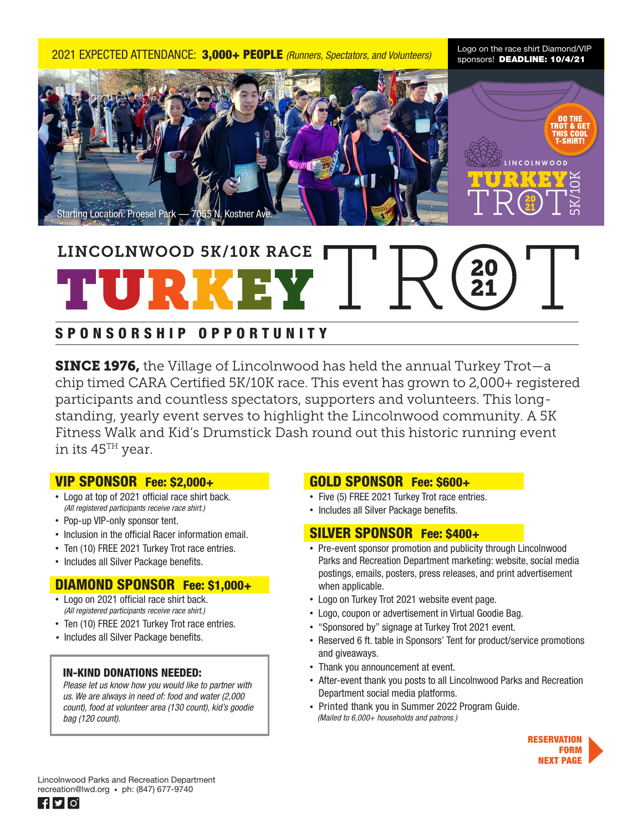2021 EXPECTED ATTENDANCE: 3,000+ PEOPLE *(Runners, Spectators, and Volunteers)*

Logo on the race shirt Diamond/VIP sponsors! DEADLINE: 10/4/21



# LINCOLNWOOD 5K/10K RACE

## SPONSORSHIP OPPORTUNITY

**SINCE 1976,** the Village of Lincolnwood has held the annual Turkey Trot—a chip timed CARA Certified 5K/10K race. This event has grown to 2,000+ registered participants and countless spectators, supporters and volunteers. This longstanding, yearly event serves to highlight the Lincolnwood community. A 5K Fitness Walk and Kid's Drumstick Dash round out this historic running event in its 45TH year.

#### VIP SPONSOR Fee: \$2,000+

- Logo at top of 2021 official race shirt back. *(All registered participants receive race shirt.)*
- •Pop-up VIP-only sponsor tent.
- •Inclusion in the official Racer information email.
- •Ten (10) FREE 2021 Turkey Trot race entries.
- •Includes all Silver Package benefits.

### DIAMOND SPONSOR Fee: \$1,000+

- Logo on 2021 official race shirt back.  *(All registered participants receive race shirt.)*
- •Ten (10) FREE 2021 Turkey Trot race entries.
- Includes all Silver Package benefits.

#### IN-KIND DONATIONS NEEDED:

*Please let us know how you would like to partner with us. We are always in need of: food and water (2,000 count), food at volunteer area (130 count), kid's goodie bag (120 count).*

#### GOLD SPONSOR Fee: \$600+

- Five (5) FREE 2021 Turkey Trot race entries.
- •Includes all Silver Package benefits.

#### SILVER SPONSOR Fee: \$400+

- •Pre-event sponsor promotion and publicity through Lincolnwood Parks and Recreation Department marketing: website, social media postings, emails, posters, press releases, and print advertisement when applicable.
- •Logo on Turkey Trot 2021 website event page.
- •Logo, coupon or advertisement in Virtual Goodie Bag.
- •"Sponsored by" signage at Turkey Trot 2021 event.
- •Reserved 6 ft. table in Sponsors' Tent for product/service promotions and giveaways.
- •Thank you announcement at event.
- •After-event thank you posts to all Lincolnwood Parks and Recreation Department social media platforms.
- •Printed thank you in Summer 2022 Program Guide. *(Mailed to 6,000+ households and patrons.)*



Lincolnwood Parks and Recreation Department recreation@lwd.org • ph: (847) 677-9740